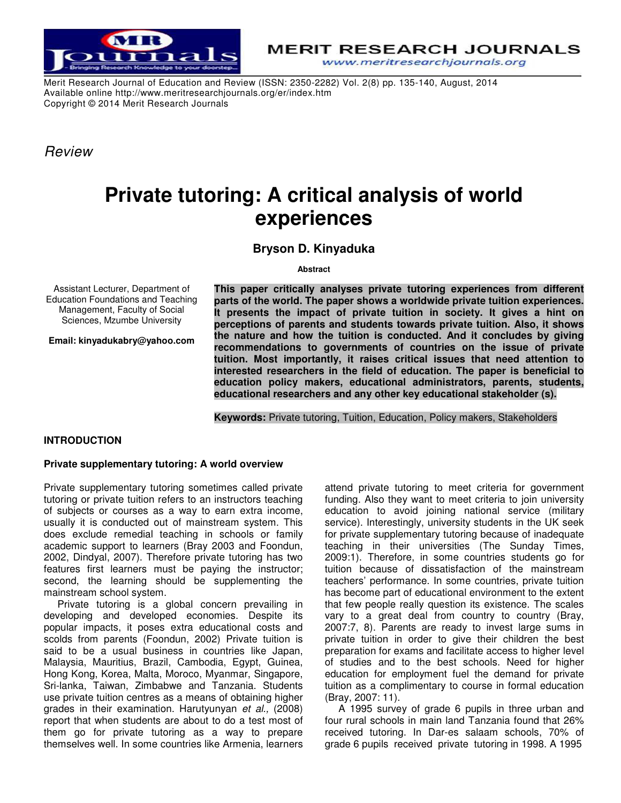

**MERIT RESEARCH JOURNALS** www.meritresearchjournals.org

Merit Research Journal of Education and Review (ISSN: 2350-2282) Vol. 2(8) pp. 135-140, August, 2014 Available online http://www.meritresearchjournals.org/er/index.htm Copyright © 2014 Merit Research Journals

*Review* 

# **Private tutoring: A critical analysis of world experiences**

**Bryson D. Kinyaduka** 

**Abstract** 

Assistant Lecturer, Department of Education Foundations and Teaching Management, Faculty of Social Sciences, Mzumbe University

**Email: kinyadukabry@yahoo.com** 

**This paper critically analyses private tutoring experiences from different parts of the world. The paper shows a worldwide private tuition experiences. It presents the impact of private tuition in society. It gives a hint on perceptions of parents and students towards private tuition. Also, it shows the nature and how the tuition is conducted. And it concludes by giving recommendations to governments of countries on the issue of private tuition. Most importantly, it raises critical issues that need attention to interested researchers in the field of education. The paper is beneficial to education policy makers, educational administrators, parents, students, educational researchers and any other key educational stakeholder (s).** 

**Keywords:** Private tutoring, Tuition, Education, Policy makers, Stakeholders

# **INTRODUCTION**

## **Private supplementary tutoring: A world overview**

Private supplementary tutoring sometimes called private tutoring or private tuition refers to an instructors teaching of subjects or courses as a way to earn extra income, usually it is conducted out of mainstream system. This does exclude remedial teaching in schools or family academic support to learners (Bray 2003 and Foondun, 2002, Dindyal, 2007). Therefore private tutoring has two features first learners must be paying the instructor; second, the learning should be supplementing the mainstream school system.

Private tutoring is a global concern prevailing in developing and developed economies. Despite its popular impacts, it poses extra educational costs and scolds from parents (Foondun, 2002) Private tuition is said to be a usual business in countries like Japan, Malaysia, Mauritius, Brazil, Cambodia, Egypt, Guinea, Hong Kong, Korea, Malta, Moroco, Myanmar, Singapore, Sri-lanka, Taiwan, Zimbabwe and Tanzania. Students use private tuition centres as a means of obtaining higher grades in their examination. Harutyunyan *et al.,* (2008) report that when students are about to do a test most of them go for private tutoring as a way to prepare themselves well. In some countries like Armenia, learners

attend private tutoring to meet criteria for government funding. Also they want to meet criteria to join university education to avoid joining national service (military service). Interestingly, university students in the UK seek for private supplementary tutoring because of inadequate teaching in their universities (The Sunday Times, 2009:1). Therefore, in some countries students go for tuition because of dissatisfaction of the mainstream teachers' performance. In some countries, private tuition has become part of educational environment to the extent that few people really question its existence. The scales vary to a great deal from country to country (Bray, 2007:7, 8). Parents are ready to invest large sums in private tuition in order to give their children the best preparation for exams and facilitate access to higher level of studies and to the best schools. Need for higher education for employment fuel the demand for private tuition as a complimentary to course in formal education (Bray, 2007: 11).

A 1995 survey of grade 6 pupils in three urban and four rural schools in main land Tanzania found that 26% received tutoring. In Dar-es salaam schools, 70% of grade 6 pupils received private tutoring in 1998. A 1995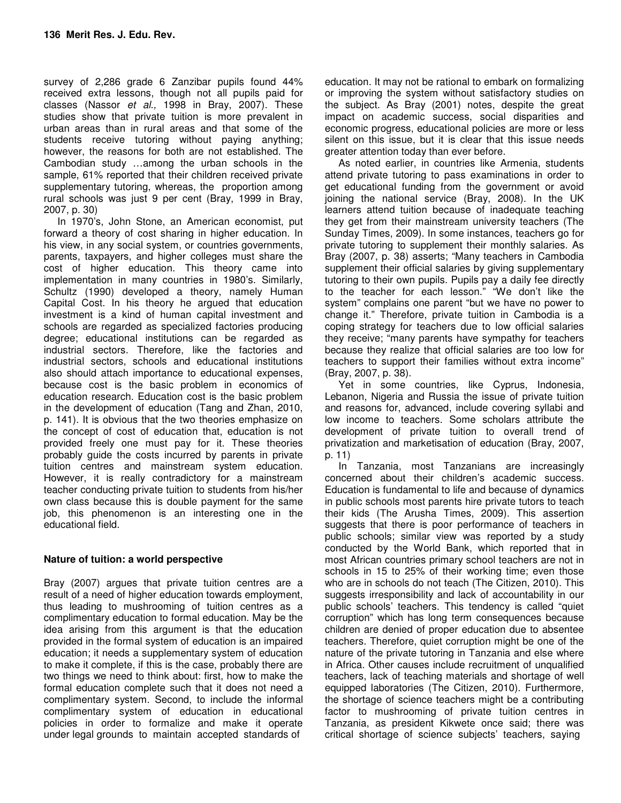survey of 2,286 grade 6 Zanzibar pupils found 44% received extra lessons, though not all pupils paid for classes (Nassor *et al.,* 1998 in Bray, 2007). These studies show that private tuition is more prevalent in urban areas than in rural areas and that some of the students receive tutoring without paying anything; however, the reasons for both are not established. The Cambodian study …among the urban schools in the sample, 61% reported that their children received private supplementary tutoring, whereas, the proportion among rural schools was just 9 per cent (Bray, 1999 in Bray, 2007, p. 30)

In 1970's, John Stone, an American economist, put forward a theory of cost sharing in higher education. In his view, in any social system, or countries governments, parents, taxpayers, and higher colleges must share the cost of higher education. This theory came into implementation in many countries in 1980's. Similarly, Schultz (1990) developed a theory, namely Human Capital Cost. In his theory he argued that education investment is a kind of human capital investment and schools are regarded as specialized factories producing degree; educational institutions can be regarded as industrial sectors. Therefore, like the factories and industrial sectors, schools and educational institutions also should attach importance to educational expenses, because cost is the basic problem in economics of education research. Education cost is the basic problem in the development of education (Tang and Zhan, 2010, p. 141). It is obvious that the two theories emphasize on the concept of cost of education that, education is not provided freely one must pay for it. These theories probably guide the costs incurred by parents in private tuition centres and mainstream system education. However, it is really contradictory for a mainstream teacher conducting private tuition to students from his/her own class because this is double payment for the same job, this phenomenon is an interesting one in the educational field.

## **Nature of tuition: a world perspective**

Bray (2007) argues that private tuition centres are a result of a need of higher education towards employment, thus leading to mushrooming of tuition centres as a complimentary education to formal education. May be the idea arising from this argument is that the education provided in the formal system of education is an impaired education; it needs a supplementary system of education to make it complete, if this is the case, probably there are two things we need to think about: first, how to make the formal education complete such that it does not need a complimentary system. Second, to include the informal complimentary system of education in educational policies in order to formalize and make it operate under legal grounds to maintain accepted standards of

education. It may not be rational to embark on formalizing or improving the system without satisfactory studies on the subject. As Bray (2001) notes, despite the great impact on academic success, social disparities and economic progress, educational policies are more or less silent on this issue, but it is clear that this issue needs greater attention today than ever before.

As noted earlier, in countries like Armenia, students attend private tutoring to pass examinations in order to get educational funding from the government or avoid joining the national service (Bray, 2008). In the UK learners attend tuition because of inadequate teaching they get from their mainstream university teachers (The Sunday Times, 2009). In some instances, teachers go for private tutoring to supplement their monthly salaries. As Bray (2007, p. 38) asserts; "Many teachers in Cambodia supplement their official salaries by giving supplementary tutoring to their own pupils. Pupils pay a daily fee directly to the teacher for each lesson." "We don't like the system" complains one parent "but we have no power to change it." Therefore, private tuition in Cambodia is a coping strategy for teachers due to low official salaries they receive; "many parents have sympathy for teachers because they realize that official salaries are too low for teachers to support their families without extra income" (Bray, 2007, p. 38).

Yet in some countries, like Cyprus, Indonesia, Lebanon, Nigeria and Russia the issue of private tuition and reasons for, advanced, include covering syllabi and low income to teachers. Some scholars attribute the development of private tuition to overall trend of privatization and marketisation of education (Bray, 2007, p. 11)

In Tanzania, most Tanzanians are increasingly concerned about their children's academic success. Education is fundamental to life and because of dynamics in public schools most parents hire private tutors to teach their kids (The Arusha Times, 2009). This assertion suggests that there is poor performance of teachers in public schools; similar view was reported by a study conducted by the World Bank, which reported that in most African countries primary school teachers are not in schools in 15 to 25% of their working time; even those who are in schools do not teach (The Citizen, 2010). This suggests irresponsibility and lack of accountability in our public schools' teachers. This tendency is called "quiet corruption" which has long term consequences because children are denied of proper education due to absentee teachers. Therefore, quiet corruption might be one of the nature of the private tutoring in Tanzania and else where in Africa. Other causes include recruitment of unqualified teachers, lack of teaching materials and shortage of well equipped laboratories (The Citizen, 2010). Furthermore, the shortage of science teachers might be a contributing factor to mushrooming of private tuition centres in Tanzania, as president Kikwete once said; there was critical shortage of science subjects' teachers, saying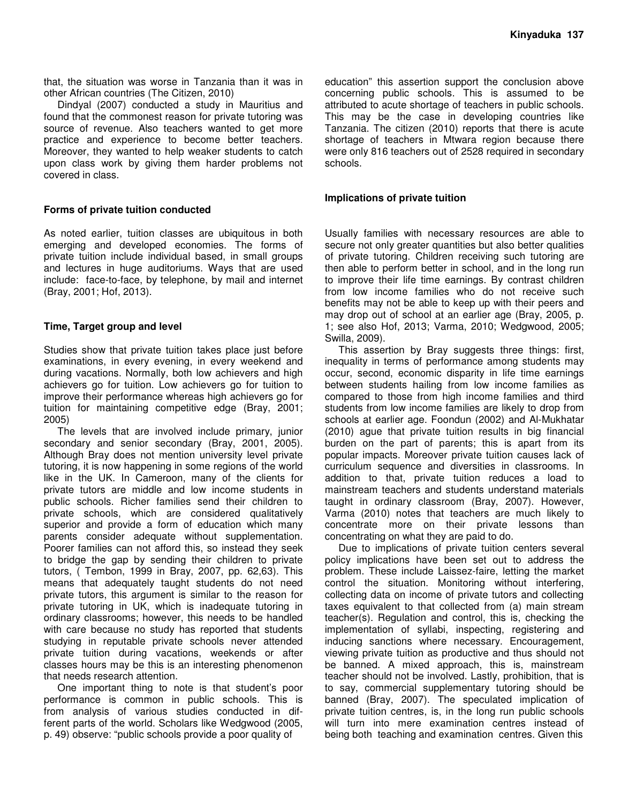that, the situation was worse in Tanzania than it was in other African countries (The Citizen, 2010)

Dindyal (2007) conducted a study in Mauritius and found that the commonest reason for private tutoring was source of revenue. Also teachers wanted to get more practice and experience to become better teachers. Moreover, they wanted to help weaker students to catch upon class work by giving them harder problems not covered in class.

### **Forms of private tuition conducted**

As noted earlier, tuition classes are ubiquitous in both emerging and developed economies. The forms of private tuition include individual based, in small groups and lectures in huge auditoriums. Ways that are used include: face-to-face, by telephone, by mail and internet (Bray, 2001; Hof, 2013).

## **Time, Target group and level**

Studies show that private tuition takes place just before examinations, in every evening, in every weekend and during vacations. Normally, both low achievers and high achievers go for tuition. Low achievers go for tuition to improve their performance whereas high achievers go for tuition for maintaining competitive edge (Bray, 2001; 2005)

The levels that are involved include primary, junior secondary and senior secondary (Bray, 2001, 2005). Although Bray does not mention university level private tutoring, it is now happening in some regions of the world like in the UK. In Cameroon, many of the clients for private tutors are middle and low income students in public schools. Richer families send their children to private schools, which are considered qualitatively superior and provide a form of education which many parents consider adequate without supplementation. Poorer families can not afford this, so instead they seek to bridge the gap by sending their children to private tutors, ( Tembon, 1999 in Bray, 2007, pp. 62,63). This means that adequately taught students do not need private tutors, this argument is similar to the reason for private tutoring in UK, which is inadequate tutoring in ordinary classrooms; however, this needs to be handled with care because no study has reported that students studying in reputable private schools never attended private tuition during vacations, weekends or after classes hours may be this is an interesting phenomenon that needs research attention.

One important thing to note is that student's poor performance is common in public schools. This is from analysis of various studies conducted in different parts of the world. Scholars like Wedgwood (2005, p. 49) observe: "public schools provide a poor quality of

education" this assertion support the conclusion above concerning public schools. This is assumed to be attributed to acute shortage of teachers in public schools. This may be the case in developing countries like Tanzania. The citizen (2010) reports that there is acute shortage of teachers in Mtwara region because there were only 816 teachers out of 2528 required in secondary schools.

#### **Implications of private tuition**

Usually families with necessary resources are able to secure not only greater quantities but also better qualities of private tutoring. Children receiving such tutoring are then able to perform better in school, and in the long run to improve their life time earnings. By contrast children from low income families who do not receive such benefits may not be able to keep up with their peers and may drop out of school at an earlier age (Bray, 2005, p. 1; see also Hof, 2013; Varma, 2010; Wedgwood, 2005; Swilla, 2009).

This assertion by Bray suggests three things: first, inequality in terms of performance among students may occur, second, economic disparity in life time earnings between students hailing from low income families as compared to those from high income families and third students from low income families are likely to drop from schools at earlier age. Foondun (2002) and Al-Mukhatar (2010) ague that private tuition results in big financial burden on the part of parents; this is apart from its popular impacts. Moreover private tuition causes lack of curriculum sequence and diversities in classrooms. In addition to that, private tuition reduces a load to mainstream teachers and students understand materials taught in ordinary classroom (Bray, 2007). However, Varma (2010) notes that teachers are much likely to concentrate more on their private lessons than concentrating on what they are paid to do.

Due to implications of private tuition centers several policy implications have been set out to address the problem. These include Laissez-faire, letting the market control the situation. Monitoring without interfering, collecting data on income of private tutors and collecting taxes equivalent to that collected from (a) main stream teacher(s). Regulation and control, this is, checking the implementation of syllabi, inspecting, registering and inducing sanctions where necessary. Encouragement, viewing private tuition as productive and thus should not be banned. A mixed approach, this is, mainstream teacher should not be involved. Lastly, prohibition, that is to say, commercial supplementary tutoring should be banned (Bray, 2007). The speculated implication of private tuition centres, is, in the long run public schools will turn into mere examination centres instead of being both teaching and examination centres. Given this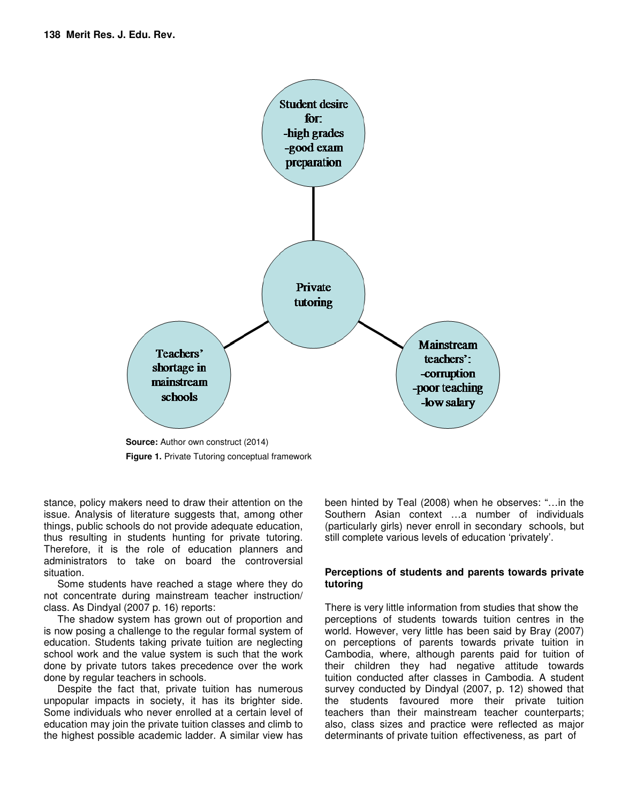

**Figure 1.** Private Tutoring conceptual framework

stance, policy makers need to draw their attention on the issue. Analysis of literature suggests that, among other things, public schools do not provide adequate education, thus resulting in students hunting for private tutoring. Therefore, it is the role of education planners and administrators to take on board the controversial situation.

Some students have reached a stage where they do not concentrate during mainstream teacher instruction/ class. As Dindyal (2007 p. 16) reports:

The shadow system has grown out of proportion and is now posing a challenge to the regular formal system of education. Students taking private tuition are neglecting school work and the value system is such that the work done by private tutors takes precedence over the work done by regular teachers in schools.

Despite the fact that, private tuition has numerous unpopular impacts in society, it has its brighter side. Some individuals who never enrolled at a certain level of education may join the private tuition classes and climb to the highest possible academic ladder. A similar view has been hinted by Teal (2008) when he observes: "…in the Southern Asian context …a number of individuals (particularly girls) never enroll in secondary schools, but still complete various levels of education 'privately'.

## **Perceptions of students and parents towards private tutoring**

There is very little information from studies that show the perceptions of students towards tuition centres in the world. However, very little has been said by Bray (2007) on perceptions of parents towards private tuition in Cambodia, where, although parents paid for tuition of their children they had negative attitude towards tuition conducted after classes in Cambodia. A student survey conducted by Dindyal (2007, p. 12) showed that the students favoured more their private tuition teachers than their mainstream teacher counterparts; also, class sizes and practice were reflected as major determinants of private tuition effectiveness, as part of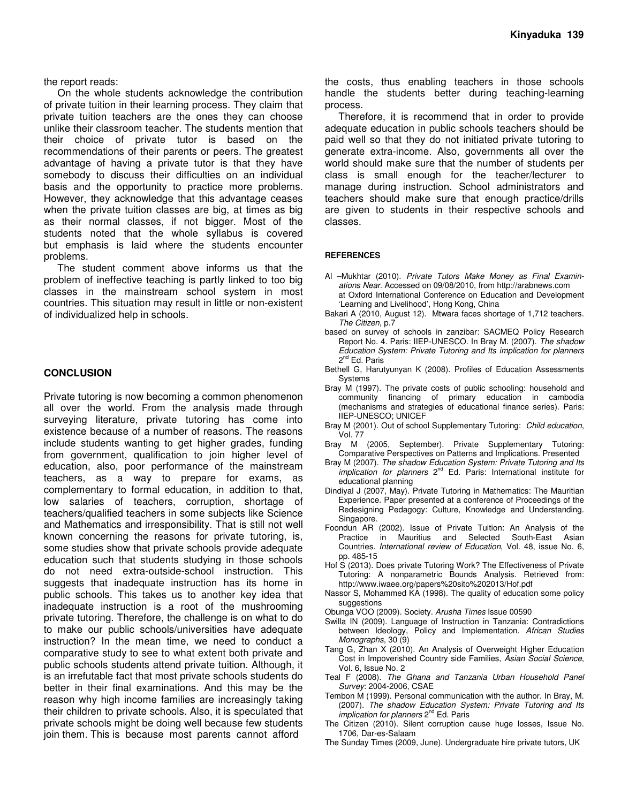the report reads:

On the whole students acknowledge the contribution of private tuition in their learning process. They claim that private tuition teachers are the ones they can choose unlike their classroom teacher. The students mention that their choice of private tutor is based on the recommendations of their parents or peers. The greatest advantage of having a private tutor is that they have somebody to discuss their difficulties on an individual basis and the opportunity to practice more problems. However, they acknowledge that this advantage ceases when the private tuition classes are big, at times as big as their normal classes, if not bigger. Most of the students noted that the whole syllabus is covered but emphasis is laid where the students encounter problems.

The student comment above informs us that the problem of ineffective teaching is partly linked to too big classes in the mainstream school system in most countries. This situation may result in little or non-existent of individualized help in schools.

#### **CONCLUSION**

Private tutoring is now becoming a common phenomenon all over the world. From the analysis made through surveying literature, private tutoring has come into existence because of a number of reasons. The reasons include students wanting to get higher grades, funding from government, qualification to join higher level of education, also, poor performance of the mainstream teachers, as a way to prepare for exams, as complementary to formal education, in addition to that, low salaries of teachers, corruption, shortage of teachers/qualified teachers in some subjects like Science and Mathematics and irresponsibility. That is still not well known concerning the reasons for private tutoring, is, some studies show that private schools provide adequate education such that students studying in those schools do not need extra-outside-school instruction. This suggests that inadequate instruction has its home in public schools. This takes us to another key idea that inadequate instruction is a root of the mushrooming private tutoring. Therefore, the challenge is on what to do to make our public schools/universities have adequate instruction? In the mean time, we need to conduct a comparative study to see to what extent both private and public schools students attend private tuition. Although, it is an irrefutable fact that most private schools students do better in their final examinations. And this may be the reason why high income families are increasingly taking their children to private schools. Also, it is speculated that private schools might be doing well because few students join them. This is because most parents cannot afford

the costs, thus enabling teachers in those schools handle the students better during teaching-learning process.

Therefore, it is recommend that in order to provide adequate education in public schools teachers should be paid well so that they do not initiated private tutoring to generate extra-income. Also, governments all over the world should make sure that the number of students per class is small enough for the teacher/lecturer to manage during instruction. School administrators and teachers should make sure that enough practice/drills are given to students in their respective schools and classes.

#### **REFERENCES**

- Al –Mukhtar (2010). *Private Tutors Make Money as Final Examinations Near*. Accessed on 09/08/2010, from http://arabnews.com at Oxford International Conference on Education and Development 'Learning and Livelihood', Hong Kong, China
- Bakari A (2010, August 12). Mtwara faces shortage of 1,712 teachers. *The Citizen*, p.7
- based on survey of schools in zanzibar: SACMEQ Policy Research Report No. 4. Paris: IIEP-UNESCO. In Bray M. (2007). *The shadow Education System: Private Tutoring and Its implication for planners* 2<sup>nd</sup> Ed. Paris
- Bethell G, Harutyunyan K (2008). Profiles of Education Assessments **Systems**
- Bray M (1997). The private costs of public schooling: household and community financing of primary education in cambodia (mechanisms and strategies of educational finance series). Paris: IIEP-UNESCO; UNICEF
- Bray M (2001). Out of school Supplementary Tutoring: *Child education*, Vol. 77
- Bray M (2005, September). Private Supplementary Tutoring: Comparative Perspectives on Patterns and Implications. Presented
- Bray M (2007). *The shadow Education System: Private Tutoring and Its implication for planners* 2<sup>nd</sup> Ed. Paris: International institute for educational planning
- Dindiyal J (2007, May). Private Tutoring in Mathematics: The Mauritian Experience. Paper presented at a conference of Proceedings of the Redesigning Pedagogy: Culture, Knowledge and Understanding. Singapore.
- Foondun AR (2002). Issue of Private Tuition: An Analysis of the Practice in Mauritius and Selected South-East Asian Countries. *International review of Education*, Vol. 48, issue No. 6, pp. 485-15
- Hof S (2013). Does private Tutoring Work? The Effectiveness of Private Tutoring: A nonparametric Bounds Analysis. Retrieved from: http://www.iwaee.org/papers%20sito%202013/Hof.pdf
- Nassor S, Mohammed KA (1998). The quality of education some policy suggestions
- Obunga VOO (2009). Society. *Arusha Times* Issue 00590
- Swilla IN (2009). Language of Instruction in Tanzania: Contradictions between Ideology, Policy and Implementation. *African Studies Monographs*, 30 (9)
- Tang G, Zhan X (2010). An Analysis of Overweight Higher Education Cost in Impoverished Country side Families, *Asian Social Science*, Vol. 6, Issue No. 2
- Teal F (2008). *The Ghana and Tanzania Urban Household Panel Survey*: 2004-2006, CSAE
- Tembon M (1999). Personal communication with the author. In Bray, M. (2007). *The shadow Education System: Private Tutoring and Its implication for planners* 2<sup>nd</sup> Ed. Paris
- The Citizen (2010). Silent corruption cause huge losses, Issue No. 1706, Dar-es-Salaam
- The Sunday Times (2009, June). Undergraduate hire private tutors, UK